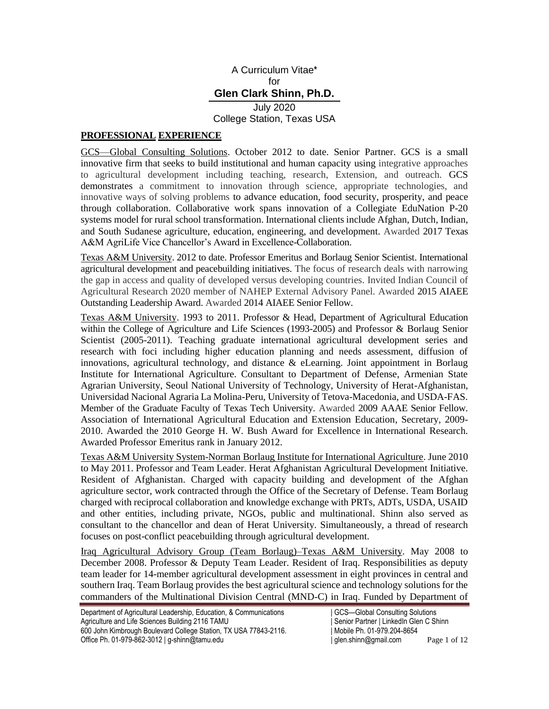### A Curriculum Vitae**\*** for **Glen Clark Shinn, Ph.D.** July 2020

College Station, Texas USA

# **PROFESSIONAL EXPERIENCE**

GCS—Global Consulting Solutions. October 2012 to date. Senior Partner. GCS is a small innovative firm that seeks to build institutional and human capacity using integrative approaches to agricultural development including teaching, research, Extension, and outreach. GCS demonstrates a commitment to innovation through science, appropriate technologies, and innovative ways of solving problems to advance education, food security, prosperity, and peace through collaboration. Collaborative work spans innovation of a Collegiate EduNation P-20 systems model for rural school transformation. International clients include Afghan, Dutch, Indian, and South Sudanese agriculture, education, engineering, and development. Awarded 2017 Texas A&M AgriLife Vice Chancellor's Award in Excellence-Collaboration.

Texas A&M University. 2012 to date. Professor Emeritus and Borlaug Senior Scientist. International agricultural development and peacebuilding initiatives. The focus of research deals with narrowing the gap in access and quality of developed versus developing countries. Invited Indian Council of Agricultural Research 2020 member of NAHEP External Advisory Panel. Awarded 2015 AIAEE Outstanding Leadership Award. Awarded 2014 AIAEE Senior Fellow.

Texas A&M University. 1993 to 2011. Professor & Head, Department of Agricultural Education within the College of Agriculture and Life Sciences (1993-2005) and Professor & Borlaug Senior Scientist (2005-2011). Teaching graduate international agricultural development series and research with foci including higher education planning and needs assessment, diffusion of innovations, agricultural technology, and distance  $\&$  eLearning. Joint appointment in Borlaug Institute for International Agriculture. Consultant to Department of Defense, Armenian State Agrarian University, Seoul National University of Technology, University of Herat-Afghanistan, Universidad Nacional Agraria La Molina-Peru, University of Tetova-Macedonia, and USDA-FAS. Member of the Graduate Faculty of Texas Tech University. Awarded 2009 AAAE Senior Fellow. Association of International Agricultural Education and Extension Education, Secretary, 2009- 2010. Awarded the 2010 George H. W. Bush Award for Excellence in International Research. Awarded Professor Emeritus rank in January 2012.

Texas A&M University System-Norman Borlaug Institute for International Agriculture. June 2010 to May 2011. Professor and Team Leader. Herat Afghanistan Agricultural Development Initiative. Resident of Afghanistan. Charged with capacity building and development of the Afghan agriculture sector, work contracted through the Office of the Secretary of Defense. Team Borlaug charged with reciprocal collaboration and knowledge exchange with PRTs, ADTs, USDA, USAID and other entities, including private, NGOs, public and multinational. Shinn also served as consultant to the chancellor and dean of Herat University. Simultaneously, a thread of research focuses on post-conflict peacebuilding through agricultural development.

Iraq Agricultural Advisory Group (Team Borlaug)–Texas A&M University. May 2008 to December 2008. Professor & Deputy Team Leader. Resident of Iraq. Responsibilities as deputy team leader for 14-member agricultural development assessment in eight provinces in central and southern Iraq. Team Borlaug provides the best agricultural science and technology solutions for the commanders of the Multinational Division Central (MND-C) in Iraq. Funded by Department of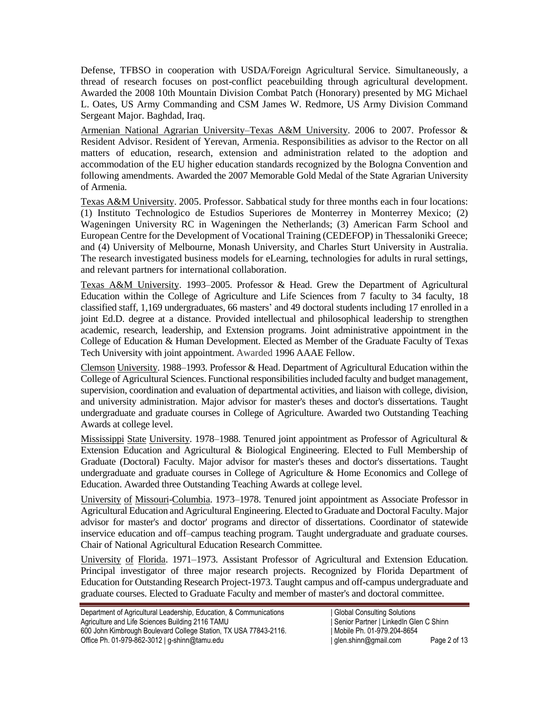Defense, TFBSO in cooperation with USDA/Foreign Agricultural Service. Simultaneously, a thread of research focuses on post-conflict peacebuilding through agricultural development. Awarded the 2008 10th Mountain Division Combat Patch (Honorary) presented by MG Michael L. Oates, US Army Commanding and CSM James W. Redmore, US Army Division Command Sergeant Major. Baghdad, Iraq.

Armenian National Agrarian University–Texas A&M University. 2006 to 2007. Professor & Resident Advisor. Resident of Yerevan, Armenia. Responsibilities as advisor to the Rector on all matters of education, research, extension and administration related to the adoption and accommodation of the EU higher education standards recognized by the Bologna Convention and following amendments. Awarded the 2007 Memorable Gold Medal of the State Agrarian University of Armenia.

Texas A&M University. 2005. Professor. Sabbatical study for three months each in four locations: (1) Instituto Technologico de Estudios Superiores de Monterrey in Monterrey Mexico; (2) Wageningen University RC in Wageningen the Netherlands; (3) American Farm School and European Centre for the Development of Vocational Training (CEDEFOP) in Thessaloniki Greece; and (4) University of Melbourne, Monash University, and Charles Sturt University in Australia. The research investigated business models for eLearning, technologies for adults in rural settings, and relevant partners for international collaboration.

Texas A&M University. 1993–2005. Professor & Head. Grew the Department of Agricultural Education within the College of Agriculture and Life Sciences from 7 faculty to 34 faculty, 18 classified staff, 1,169 undergraduates, 66 masters' and 49 doctoral students including 17 enrolled in a joint Ed.D. degree at a distance. Provided intellectual and philosophical leadership to strengthen academic, research, leadership, and Extension programs. Joint administrative appointment in the College of Education & Human Development. Elected as Member of the Graduate Faculty of Texas Tech University with joint appointment. Awarded 1996 AAAE Fellow.

Clemson University. 1988–1993. Professor & Head. Department of Agricultural Education within the College of Agricultural Sciences. Functional responsibilities included faculty and budget management, supervision, coordination and evaluation of departmental activities, and liaison with college, division, and university administration. Major advisor for master's theses and doctor's dissertations. Taught undergraduate and graduate courses in College of Agriculture. Awarded two Outstanding Teaching Awards at college level.

Mississippi State University. 1978–1988. Tenured joint appointment as Professor of Agricultural & Extension Education and Agricultural & Biological Engineering. Elected to Full Membership of Graduate (Doctoral) Faculty. Major advisor for master's theses and doctor's dissertations. Taught undergraduate and graduate courses in College of Agriculture & Home Economics and College of Education. Awarded three Outstanding Teaching Awards at college level.

University of Missouri-Columbia. 1973–1978. Tenured joint appointment as Associate Professor in Agricultural Education and Agricultural Engineering. Elected to Graduate and Doctoral Faculty. Major advisor for master's and doctor' programs and director of dissertations. Coordinator of statewide inservice education and off–campus teaching program. Taught undergraduate and graduate courses. Chair of National Agricultural Education Research Committee.

University of Florida. 1971–1973. Assistant Professor of Agricultural and Extension Education. Principal investigator of three major research projects. Recognized by Florida Department of Education for Outstanding Research Project-1973. Taught campus and off-campus undergraduate and graduate courses. Elected to Graduate Faculty and member of master's and doctoral committee.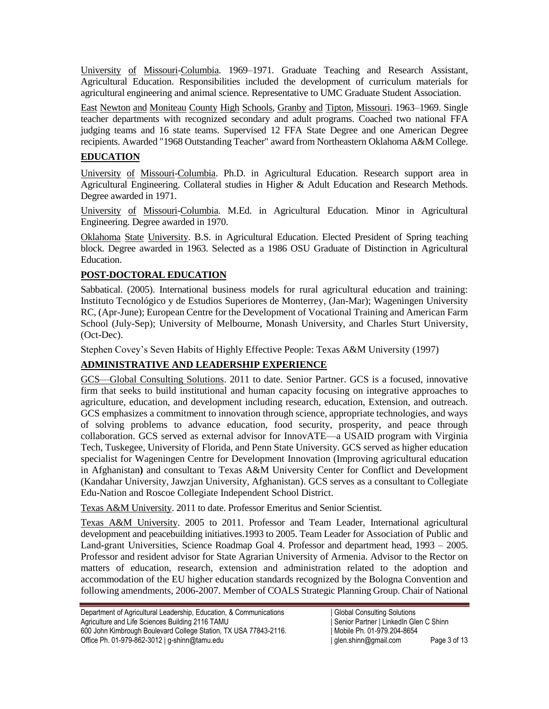University of Missouri-Columbia. 1969–1971. Graduate Teaching and Research Assistant, Agricultural Education. Responsibilities included the development of curriculum materials for agricultural engineering and animal science. Representative to UMC Graduate Student Association.

East Newton and Moniteau County High Schools, Granby and Tipton, Missouri. 1963–1969. Single teacher departments with recognized secondary and adult programs. Coached two national FFA judging teams and 16 state teams. Supervised 12 FFA State Degree and one American Degree recipients. Awarded "1968 Outstanding Teacher" award from Northeastern Oklahoma A&M College.

### **EDUCATION**

University of Missouri-Columbia. Ph.D. in Agricultural Education. Research support area in Agricultural Engineering. Collateral studies in Higher & Adult Education and Research Methods. Degree awarded in 1971.

University of Missouri-Columbia. M.Ed. in Agricultural Education. Minor in Agricultural Engineering. Degree awarded in 1970.

Oklahoma State University. B.S. in Agricultural Education. Elected President of Spring teaching block. Degree awarded in 1963. Selected as a 1986 OSU Graduate of Distinction in Agricultural Education.

## **POST-DOCTORAL EDUCATION**

Sabbatical. (2005). International business models for rural agricultural education and training: Instituto Tecnológico y de Estudios Superiores de Monterrey, (Jan-Mar); Wageningen University RC, (Apr-June); European Centre for the Development of Vocational Training and American Farm School (July-Sep); University of Melbourne, Monash University, and Charles Sturt University, (Oct-Dec).

Stephen Covey's Seven Habits of Highly Effective People: Texas A&M University (1997)

# **ADMINISTRATIVE AND LEADERSHIP EXPERIENCE**

GCS—Global Consulting Solutions. 2011 to date. Senior Partner. GCS is a focused, innovative firm that seeks to build institutional and human capacity focusing on integrative approaches to agriculture, education, and development including research, education, Extension, and outreach. GCS emphasizes a commitment to innovation through science, appropriate technologies, and ways of solving problems to advance education, food security, prosperity, and peace through collaboration. GCS served as external advisor for InnovATE—a USAID program with Virginia Tech, Tuskegee, University of Florida, and Penn State University. GCS served as higher education specialist for Wageningen Centre for Development Innovation (Improving agricultural education in Afghanistan**)** and consultant to Texas A&M University Center for Conflict and Development (Kandahar University, Jawzjan University, Afghanistan). GCS serves as a consultant to Collegiate Edu-Nation and Roscoe Collegiate Independent School District.

Texas A&M University. 2011 to date. Professor Emeritus and Senior Scientist.

Texas A&M University. 2005 to 2011. Professor and Team Leader, International agricultural development and peacebuilding initiatives.1993 to 2005. Team Leader for Association of Public and Land**-**grant Universities, Science Roadmap Goal 4. Professor and department head, 1993 – 2005. Professor and resident advisor for State Agrarian University of Armenia. Advisor to the Rector on matters of education, research, extension and administration related to the adoption and accommodation of the EU higher education standards recognized by the Bologna Convention and following amendments, 2006-2007. Member of COALS Strategic Planning Group. Chair of National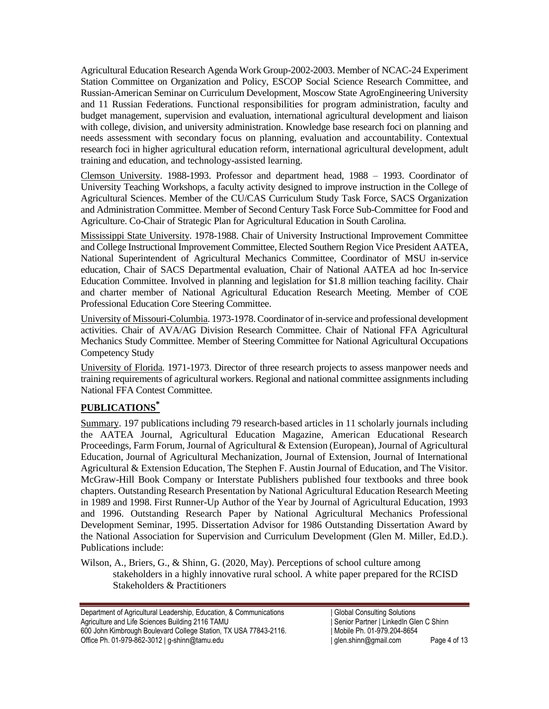Agricultural Education Research Agenda Work Group-2002-2003. Member of NCAC-24 Experiment Station Committee on Organization and Policy, ESCOP Social Science Research Committee, and Russian-American Seminar on Curriculum Development, Moscow State AgroEngineering University and 11 Russian Federations. Functional responsibilities for program administration, faculty and budget management, supervision and evaluation, international agricultural development and liaison with college, division, and university administration. Knowledge base research foci on planning and needs assessment with secondary focus on planning, evaluation and accountability. Contextual research foci in higher agricultural education reform, international agricultural development, adult training and education, and technology-assisted learning.

Clemson University. 1988-1993. Professor and department head, 1988 – 1993. Coordinator of University Teaching Workshops, a faculty activity designed to improve instruction in the College of Agricultural Sciences. Member of the CU/CAS Curriculum Study Task Force, SACS Organization and Administration Committee. Member of Second Century Task Force Sub-Committee for Food and Agriculture. Co-Chair of Strategic Plan for Agricultural Education in South Carolina.

Mississippi State University. 1978-1988. Chair of University Instructional Improvement Committee and College Instructional Improvement Committee, Elected Southern Region Vice President AATEA, National Superintendent of Agricultural Mechanics Committee, Coordinator of MSU in-service education, Chair of SACS Departmental evaluation, Chair of National AATEA ad hoc In-service Education Committee. Involved in planning and legislation for \$1.8 million teaching facility. Chair and charter member of National Agricultural Education Research Meeting. Member of COE Professional Education Core Steering Committee.

University of Missouri-Columbia. 1973-1978. Coordinator of in-service and professional development activities. Chair of AVA/AG Division Research Committee. Chair of National FFA Agricultural Mechanics Study Committee. Member of Steering Committee for National Agricultural Occupations Competency Study

University of Florida. 1971-1973. Director of three research projects to assess manpower needs and training requirements of agricultural workers. Regional and national committee assignments including National FFA Contest Committee.

# **PUBLICATIONS\***

Summary. 197 publications including 79 research-based articles in 11 scholarly journals including the AATEA Journal, Agricultural Education Magazine, American Educational Research Proceedings, Farm Forum, Journal of Agricultural & Extension (European), Journal of Agricultural Education, Journal of Agricultural Mechanization, Journal of Extension, Journal of International Agricultural & Extension Education, The Stephen F. Austin Journal of Education, and The Visitor. McGraw-Hill Book Company or Interstate Publishers published four textbooks and three book chapters. Outstanding Research Presentation by National Agricultural Education Research Meeting in 1989 and 1998. First Runner-Up Author of the Year by Journal of Agricultural Education, 1993 and 1996. Outstanding Research Paper by National Agricultural Mechanics Professional Development Seminar, 1995. Dissertation Advisor for 1986 Outstanding Dissertation Award by the National Association for Supervision and Curriculum Development (Glen M. Miller, Ed.D.). Publications include:

Wilson, A., Briers, G., & Shinn, G. (2020, May). Perceptions of school culture among stakeholders in a highly innovative rural school. A white paper prepared for the RCISD Stakeholders & Practitioners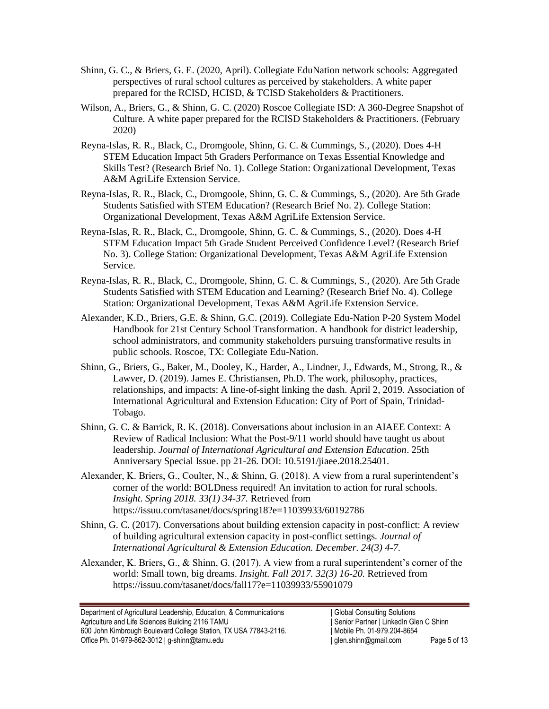- Shinn, G. C., & Briers, G. E. (2020, April). Collegiate EduNation network schools: Aggregated perspectives of rural school cultures as perceived by stakeholders. A white paper prepared for the RCISD, HCISD, & TCISD Stakeholders & Practitioners.
- Wilson, A., Briers, G., & Shinn, G. C. (2020) Roscoe Collegiate ISD: A 360-Degree Snapshot of Culture. A white paper prepared for the RCISD Stakeholders & Practitioners. (February 2020)
- Reyna-Islas, R. R., Black, C., Dromgoole, Shinn, G. C. & Cummings, S., (2020). Does 4-H STEM Education Impact 5th Graders Performance on Texas Essential Knowledge and Skills Test? (Research Brief No. 1). College Station: Organizational Development, Texas A&M AgriLife Extension Service.
- Reyna-Islas, R. R., Black, C., Dromgoole, Shinn, G. C. & Cummings, S., (2020). Are 5th Grade Students Satisfied with STEM Education? (Research Brief No. 2). College Station: Organizational Development, Texas A&M AgriLife Extension Service.
- Reyna-Islas, R. R., Black, C., Dromgoole, Shinn, G. C. & Cummings, S., (2020). Does 4-H STEM Education Impact 5th Grade Student Perceived Confidence Level? (Research Brief No. 3). College Station: Organizational Development, Texas A&M AgriLife Extension Service.
- Reyna-Islas, R. R., Black, C., Dromgoole, Shinn, G. C. & Cummings, S., (2020). Are 5th Grade Students Satisfied with STEM Education and Learning? (Research Brief No. 4). College Station: Organizational Development, Texas A&M AgriLife Extension Service.
- Alexander, K.D., Briers, G.E. & Shinn, G.C. (2019). Collegiate Edu-Nation P-20 System Model Handbook for 21st Century School Transformation. A handbook for district leadership, school administrators, and community stakeholders pursuing transformative results in public schools. Roscoe, TX: Collegiate Edu-Nation.
- Shinn, G., Briers, G., Baker, M., Dooley, K., Harder, A., Lindner, J., Edwards, M., Strong, R., & Lawver, D. (2019). James E. Christiansen, Ph.D. The work, philosophy, practices, relationships, and impacts: A line-of-sight linking the dash. April 2, 2019. Association of International Agricultural and Extension Education: City of Port of Spain, Trinidad-Tobago.
- Shinn, G. C. & Barrick, R. K. (2018). Conversations about inclusion in an AIAEE Context: A Review of Radical Inclusion: What the Post-9/11 world should have taught us about leadership. *Journal of International Agricultural and Extension Education*. [25th](https://www.aiaee.org/index.php/25th-anniversary-special-edition)  [Anniversary Special Issue.](https://www.aiaee.org/index.php/25th-anniversary-special-edition) pp 21-26. DOI: 10.5191/jiaee.2018.25401.
- Alexander, K. Briers, G., Coulter, N., & Shinn, G. (2018). A view from a rural superintendent's corner of the world: BOLDness required! An invitation to action for rural schools. *Insight. Spring 2018. 33(1) 34-37.* Retrieved from https://issuu.com/tasanet/docs/spring18?e=11039933/60192786
- Shinn, G. C. (2017). Conversations about building extension capacity in post-conflict: A review of building agricultural extension capacity in post-conflict settings*. Journal of International Agricultural & Extension Education. December. 24(3) 4-7.*
- Alexander, K. Briers, G., & Shinn, G. (2017). A view from a rural superintendent's corner of the world: Small town, big dreams. *Insight. Fall 2017. 32(3) 16-20.* Retrieved from https://issuu.com/tasanet/docs/fall17?e=11039933/55901079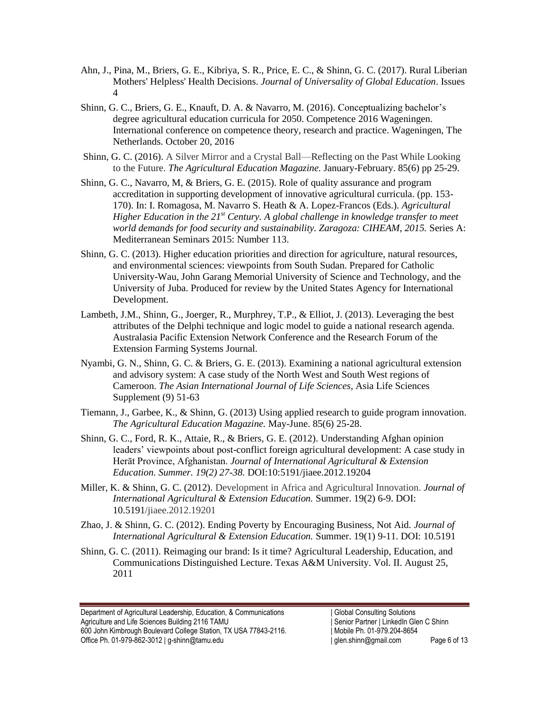- Ahn, J., Pina, M., Briers, G. E., Kibriya, S. R., Price, E. C., & Shinn, G. C. (2017). [Rural Liberian](javascript:void(0))  [Mothers' Helpless' Health Decisions.](javascript:void(0)) *Journal of Universality of Global Education*. Issues 4
- Shinn, G. C., Briers, G. E., Knauft, D. A. & Navarro, M. (2016). Conceptualizing bachelor's degree agricultural education curricula for 2050. Competence 2016 Wageningen. International conference on competence theory, research and practice. Wageningen, The Netherlands. October 20, 2016
- Shinn, G. C. (2016). A Silver Mirror and a Crystal Ball—Reflecting on the Past While Looking to the Future. *The Agricultural Education Magazine.* January-February. 85(6) pp 25-29.
- Shinn, G. C., Navarro, M, & Briers, G. E. (2015). Role of quality assurance and program accreditation in supporting development of innovative agricultural curricula. (pp. 153- 170). In: I. Romagosa, M. Navarro S. Heath & A. Lopez-Francos (Eds.). *Agricultural Higher Education in the 21st Century. A global challenge in knowledge transfer to meet world demands for food security and sustainability. Zaragoza: CIHEAM, 2015.* Series A: Mediterranean Seminars 2015: Number 113.
- Shinn, G. C. (2013). Higher education priorities and direction for agriculture, natural resources, and environmental sciences: viewpoints from South Sudan. Prepared for Catholic University-Wau, John Garang Memorial University of Science and Technology, and the University of Juba. Produced for review by the United States Agency for International Development.
- Lambeth, J.M., Shinn, G., Joerger, R., Murphrey, T.P., & Elliot, J. (2013). Leveraging the best attributes of the Delphi technique and logic model to guide a national research agenda. Australasia Pacific Extension Network Conference and the Research Forum of the Extension Farming Systems Journal.
- Nyambi, G. N., Shinn, G. C. & Briers, G. E. (2013). Examining a national agricultural extension and advisory system: A case study of the North West and South West regions of Cameroon. *The Asian International Journal of Life Sciences*, Asia Life Sciences Supplement (9) 51-63
- Tiemann, J., Garbee, K., & Shinn, G. (2013) Using applied research to guide program innovation. *The Agricultural Education Magazine.* May-June. 85(6) 25-28.
- Shinn, G. C., Ford, R. K., Attaie, R., & Briers, G. E. (2012). Understanding Afghan opinion leaders' viewpoints about post-conflict foreign agricultural development: A case study in Herāt Province, Afghanistan. *Journal of International Agricultural & Extension Education. Summer. 19(2) 27-38.* DOI:10:5191/jiaee.2012.19204
- Miller, K. & Shinn, G. C. (2012). Development in Africa and Agricultural Innovation. *Journal of International Agricultural & Extension Education.* Summer. 19(2) 6-9. DOI: 10.5191/jiaee.2012.19201
- Zhao, J. & Shinn, G. C. (2012). Ending Poverty by Encouraging Business, Not Aid. *Journal of International Agricultural & Extension Education.* Summer. 19(1) 9-11. DOI: 10.5191
- Shinn, G. C. (2011). Reimaging our brand: Is it time? Agricultural Leadership, Education, and Communications Distinguished Lecture. Texas A&M University. Vol. II. August 25, 2011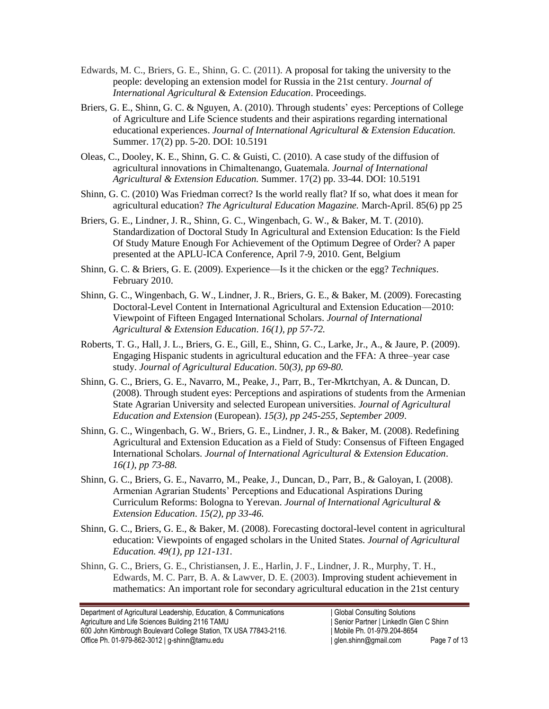- Edwards, M. C., Briers, G. E., Shinn, G. C. (2011). A proposal for taking the university to the people: developing an extension model for Russia in the 21st century. *Journal of International Agricultural & Extension Education*. Proceedings.
- Briers, G. E., Shinn, G. C. & Nguyen, A. (2010). Through students' eyes: Perceptions of College of Agriculture and Life Science students and their aspirations regarding international educational experiences. *Journal of International Agricultural & Extension Education.* Summer. 17(2) pp. 5-20. DOI: 10.5191
- Oleas, C., Dooley, K. E., Shinn, G. C. & Guisti, C. (2010). A case study of the diffusion of agricultural innovations in Chimaltenango, Guatemala. *Journal of International Agricultural & Extension Education.* Summer. 17(2) pp. 33-44. DOI: 10.5191
- Shinn, G. C. (2010) Was Friedman correct? Is the world really flat? If so, what does it mean for agricultural education? *The Agricultural Education Magazine.* March-April. 85(6) pp 25
- Briers, G. E., Lindner, J. R., Shinn, G. C., Wingenbach, G. W., & Baker, M. T. (2010). Standardization of Doctoral Study In Agricultural and Extension Education: Is the Field Of Study Mature Enough For Achievement of the Optimum Degree of Order? A paper presented at the APLU-ICA Conference, April 7-9, 2010. Gent, Belgium
- Shinn, G. C. & Briers, G. E. (2009). Experience—Is it the chicken or the egg? *Techniques*. February 2010.
- Shinn, G. C., Wingenbach, G. W., Lindner, J. R., Briers, G. E., & Baker, M. (2009). Forecasting Doctoral-Level Content in International Agricultural and Extension Education—2010: Viewpoint of Fifteen Engaged International Scholars. *Journal of International Agricultural & Extension Education*. *16(1), pp 57-72.*
- Roberts, T. G., Hall, J. L., Briers, G. E., Gill, E., Shinn, G. C., Larke, Jr., A., & Jaure, P. (2009). Engaging Hispanic students in agricultural education and the FFA: A three–year case study. *Journal of Agricultural Education*. 50*(3), pp 69-80.*
- Shinn, G. C., Briers, G. E., Navarro, M., Peake, J., Parr, B., Ter-Mkrtchyan, A. & Duncan, D. (2008). Through student eyes: Perceptions and aspirations of students from the Armenian State Agrarian University and selected European universities. *Journal of Agricultural Education and Extension* (European). *15(3), pp 245-255, September 2009*.
- Shinn, G. C., Wingenbach, G. W., Briers, G. E., Lindner, J. R., & Baker, M. (2008). Redefining Agricultural and Extension Education as a Field of Study: Consensus of Fifteen Engaged International Scholars. *Journal of International Agricultural & Extension Education*. *16(1), pp 73-88.*
- Shinn, G. C., Briers, G. E., Navarro, M., Peake, J., Duncan, D., Parr, B., & Galoyan, I. (2008). Armenian Agrarian Students' Perceptions and Educational Aspirations During Curriculum Reforms: Bologna to Yerevan. *Journal of International Agricultural & Extension Education*. *15(2), pp 33-46.*
- Shinn, G. C., Briers, G. E., & Baker, M. (2008). Forecasting doctoral-level content in agricultural education: Viewpoints of engaged scholars in the United States. *Journal of Agricultural Education. 49(1), pp 121-131.*
- Shinn, G. C., Briers, G. E., Christiansen, J. E., Harlin, J. F., Lindner, J. R., Murphy, T. H., Edwards, M. C. Parr, B. A. & Lawver, D. E. (2003). [Improving student achievement in](http://citeseerx.ist.psu.edu/viewdoc/summary?doi=10.1.1.130.5829)  [mathematics: An important role for secondary agricultural education in the 21st century](http://citeseerx.ist.psu.edu/viewdoc/summary?doi=10.1.1.130.5829)

Department of Agricultural Leadership, Education, & Communications | Global Consulting Solutions Agriculture and Life Sciences Building 2116 TAMU | Senior Partner | LinkedIn Glen C Shinn 600 John Kimbrough Boulevard College Station, TX USA 77843-2116. | Mobile Ph. 01-979.204-8654 Office Ph. 01-979-862-3012 | g-shinn@tamu.edu | com | glen.shinn@gmail.com Page 7 of 13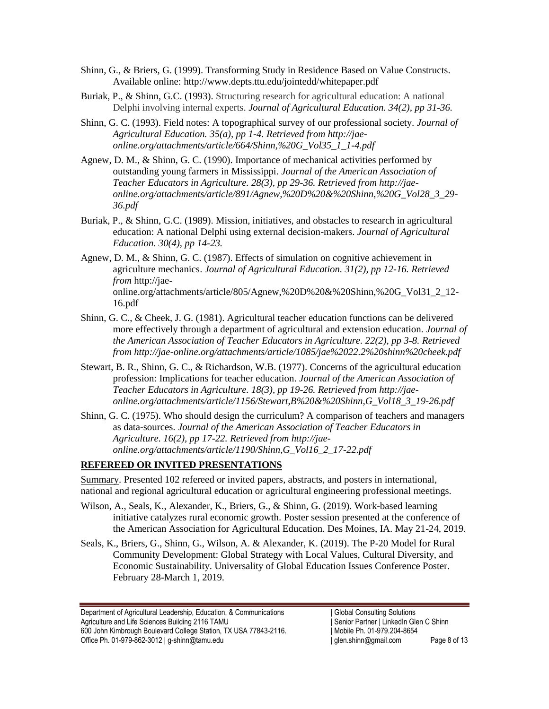- Shinn, G., & Briers, G. (1999). Transforming Study in Residence Based on Value Constructs. Available online: http://www.depts.ttu.edu/jointedd/whitepaper.pdf
- Buriak, P., & Shinn, G.C. (1993). Structuring research for agricultural education: A national Delphi involving internal experts. *Journal of Agricultural Education. 34(2), pp 31-36.*
- Shinn, G. C. (1993). Field notes: A topographical survey of our professional society. *Journal of Agricultural Education. 35(a), pp 1-4. Retrieved from http://jaeonline.org/attachments/article/664/Shinn,%20G\_Vol35\_1\_1-4.pdf*
- Agnew, D. M., & Shinn, G. C. (1990). Importance of mechanical activities performed by outstanding young farmers in Mississippi. *Journal of the American Association of Teacher Educators in Agriculture. 28(3), pp 29-36. Retrieved from http://jaeonline.org/attachments/article/891/Agnew,%20D%20&%20Shinn,%20G\_Vol28\_3\_29- 36.pdf*
- Buriak, P., & Shinn, G.C. (1989). Mission, initiatives, and obstacles to research in agricultural education: A national Delphi using external decision-makers. *Journal of Agricultural Education. 30(4), pp 14-23.*
- Agnew, D. M., & Shinn, G. C. (1987). Effects of simulation on cognitive achievement in agriculture mechanics. *Journal of Agricultural Education. 31(2), pp 12-16. Retrieved from* http://jaeonline.org/attachments/article/805/Agnew,%20D%20&%20Shinn,%20G\_Vol31\_2\_12- 16.pdf
- Shinn, G. C., & Cheek, J. G. (1981). Agricultural teacher education functions can be delivered more effectively through a department of agricultural and extension education. *Journal of the American Association of Teacher Educators in Agriculture. 22(2), pp 3-8. Retrieved from http://jae-online.org/attachments/article/1085/jae%2022.2%20shinn%20cheek.pdf*
- Stewart, B. R., Shinn, G. C., & Richardson, W.B. (1977). Concerns of the agricultural education profession: Implications for teacher education. *Journal of the American Association of Teacher Educators in Agriculture. 18(3), pp 19-26. Retrieved from http://jaeonline.org/attachments/article/1156/Stewart,B%20&%20Shinn,G\_Vol18\_3\_19-26.pdf*
- Shinn, G. C. (1975). Who should design the curriculum? A comparison of teachers and managers as data-sources. *Journal of the American Association of Teacher Educators in Agriculture. 16(2), pp 17-22. Retrieved from http://jaeonline.org/attachments/article/1190/Shinn,G\_Vol16\_2\_17-22.pdf*

## **REFEREED OR INVITED PRESENTATIONS**

Summary. Presented 102 refereed or invited papers, abstracts, and posters in international, national and regional agricultural education or agricultural engineering professional meetings.

- Wilson, A., Seals, K., Alexander, K., Briers, G., & Shinn, G. (2019). Work-based learning initiative catalyzes rural economic growth. Poster session presented at the conference of the American Association for Agricultural Education. Des Moines, IA. May 21-24, 2019.
- Seals, K., Briers, G., Shinn, G., Wilson, A. & Alexander, K. (2019). The P-20 Model for Rural Community Development: Global Strategy with Local Values, Cultural Diversity, and Economic Sustainability. Universality of Global Education Issues Conference Poster. February 28-March 1, 2019.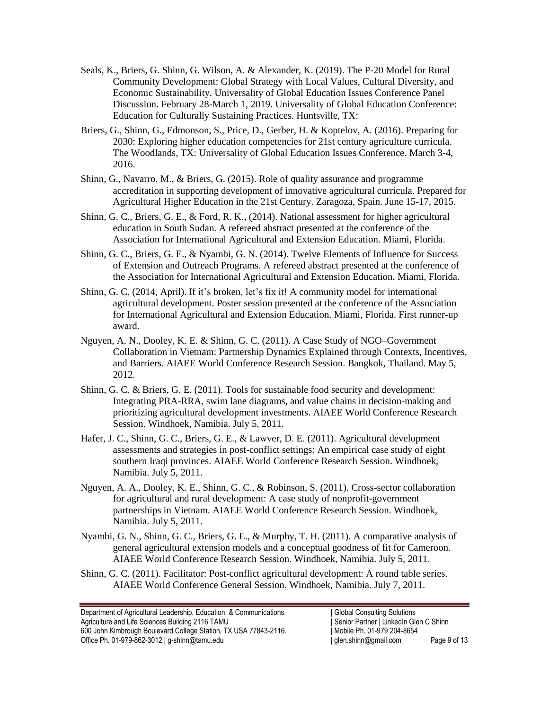- Seals, K., Briers, G. Shinn, G. Wilson, A. & Alexander, K. (2019). The P-20 Model for Rural Community Development: Global Strategy with Local Values, Cultural Diversity, and Economic Sustainability. Universality of Global Education Issues Conference Panel Discussion. February 28-March 1, 2019. Universality of Global Education Conference: Education for Culturally Sustaining Practices. Huntsville, TX:
- Briers, G., Shinn, G., Edmonson, S., Price, D., Gerber, H. & Koptelov, A. (2016). Preparing for 2030: Exploring higher education competencies for 21st century agriculture curricula. The Woodlands, TX: Universality of Global Education Issues Conference. March 3-4, 2016.
- Shinn, G., Navarro, M., & Briers, G. (2015). Role of quality assurance and programme accreditation in supporting development of innovative agricultural curricula. Prepared for Agricultural Higher Education in the 21st Century. Zaragoza, Spain. June 15-17, 2015.
- Shinn, G. C., Briers, G. E., & Ford, R. K., (2014). National assessment for higher agricultural education in South Sudan. A refereed abstract presented at the conference of the Association for International Agricultural and Extension Education. Miami, Florida.
- Shinn, G. C., Briers, G. E., & Nyambi, G. N. (2014). Twelve Elements of Influence for Success of Extension and Outreach Programs. A refereed abstract presented at the conference of the Association for International Agricultural and Extension Education. Miami, Florida.
- Shinn, G. C. (2014, April). If it's broken, let's fix it! A community model for international agricultural development. Poster session presented at the conference of the Association for International Agricultural and Extension Education. Miami, Florida. First runner-up award.
- Nguyen, A. N., Dooley, K. E. & Shinn, G. C. (2011). A Case Study of NGO–Government Collaboration in Vietnam: Partnership Dynamics Explained through Contexts, Incentives, and Barriers. AIAEE World Conference Research Session. Bangkok, Thailand. May 5, 2012.
- Shinn, G. C. & Briers, G. E. (2011). Tools for sustainable food security and development: Integrating PRA-RRA, swim lane diagrams, and value chains in decision-making and prioritizing agricultural development investments. AIAEE World Conference Research Session. Windhoek, Namibia. July 5, 2011.
- Hafer, J. C., Shinn, G. C., Briers, G. E., & Lawver, D. E. (2011). Agricultural development assessments and strategies in post-conflict settings: An empirical case study of eight southern Iraqi provinces. AIAEE World Conference Research Session. Windhoek, Namibia. July 5, 2011.
- Nguyen, A. A., Dooley, K. E., Shinn, G. C., & Robinson, S. (2011). Cross-sector collaboration for agricultural and rural development: A case study of nonprofit-government partnerships in Vietnam. AIAEE World Conference Research Session. Windhoek, Namibia. July 5, 2011.
- Nyambi, G. N., Shinn, G. C., Briers, G. E., & Murphy, T. H. (2011). A comparative analysis of general agricultural extension models and a conceptual goodness of fit for Cameroon. AIAEE World Conference Research Session. Windhoek, Namibia. July 5, 2011.
- Shinn, G. C. (2011). Facilitator: Post-conflict agricultural development: A round table series. AIAEE World Conference General Session. Windhoek, Namibia. July 7, 2011.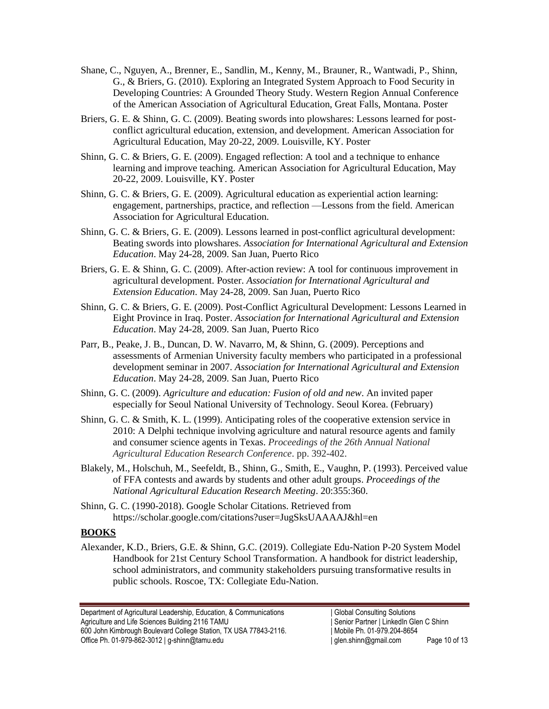- Shane, C., Nguyen, A., Brenner, E., Sandlin, M., Kenny, M., Brauner, R., Wantwadi, P., Shinn, G., & Briers, G. (2010). Exploring an Integrated System Approach to Food Security in Developing Countries: A Grounded Theory Study. Western Region Annual Conference of the American Association of Agricultural Education, Great Falls, Montana. Poster
- Briers, G. E. & Shinn, G. C. (2009). Beating swords into plowshares: Lessons learned for postconflict agricultural education, extension, and development. American Association for Agricultural Education, May 20-22, 2009. Louisville, KY. Poster
- Shinn, G. C. & Briers, G. E. (2009). Engaged reflection: A tool and a technique to enhance learning and improve teaching. American Association for Agricultural Education, May 20-22, 2009. Louisville, KY. Poster
- Shinn, G. C. & Briers, G. E. (2009). Agricultural education as experiential action learning: engagement, partnerships, practice, and reflection —Lessons from the field. American Association for Agricultural Education.
- Shinn, G. C. & Briers, G. E. (2009). Lessons learned in post-conflict agricultural development: Beating swords into plowshares. *Association for International Agricultural and Extension Education*. May 24-28, 2009. San Juan, Puerto Rico
- Briers, G. E. & Shinn, G. C. (2009). After-action review: A tool for continuous improvement in agricultural development. Poster. *Association for International Agricultural and Extension Education*. May 24-28, 2009. San Juan, Puerto Rico
- Shinn, G. C. & Briers, G. E. (2009). Post-Conflict Agricultural Development: Lessons Learned in Eight Province in Iraq. Poster. *Association for International Agricultural and Extension Education*. May 24-28, 2009. San Juan, Puerto Rico
- Parr, B., Peake, J. B., Duncan, D. W. Navarro, M, & Shinn, G. (2009). Perceptions and assessments of Armenian University faculty members who participated in a professional development seminar in 2007. *Association for International Agricultural and Extension Education*. May 24-28, 2009. San Juan, Puerto Rico
- Shinn, G. C. (2009). *Agriculture and education: Fusion of old and new*. An invited paper especially for Seoul National University of Technology. Seoul Korea. (February)
- Shinn, G. C. & Smith, K. L. (1999). [Anticipating roles of the cooperative extension service in](https://scholar.google.com/scholar?oi=bibs&cluster=2920085664405575743&btnI=1&hl=en)  [2010: A Delphi technique involving agriculture and natural resource agents and family](https://scholar.google.com/scholar?oi=bibs&cluster=2920085664405575743&btnI=1&hl=en)  [and consumer science agents in Texas.](https://scholar.google.com/scholar?oi=bibs&cluster=2920085664405575743&btnI=1&hl=en) *Proceedings of the 26th Annual National Agricultural Education Research Conference*. pp. 392-402.
- Blakely, M., Holschuh, M., Seefeldt, B., Shinn, G., Smith, E., Vaughn, P. (1993). [Perceived value](http://scholar.google.com/scholar?cluster=7788047866286710677&hl=en&oi=scholarr)  [of FFA contests and awards by students and other adult groups.](http://scholar.google.com/scholar?cluster=7788047866286710677&hl=en&oi=scholarr) *Proceedings of the National Agricultural Education Research Meeting*. 20:355:360.
- Shinn, G. C. (1990-2018). Google Scholar Citations. Retrieved from https://scholar.google.com/citations?user=JugSksUAAAAJ&hl=en

#### **BOOKS**

Alexander, K.D., Briers, G.E. & Shinn, G.C. (2019). Collegiate Edu-Nation P-20 System Model Handbook for 21st Century School Transformation. A handbook for district leadership, school administrators, and community stakeholders pursuing transformative results in public schools. Roscoe, TX: Collegiate Edu-Nation.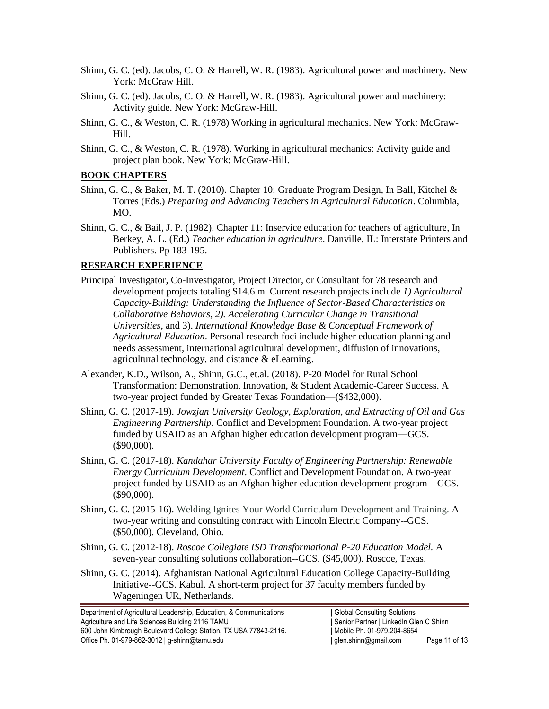- Shinn, G. C. (ed). Jacobs, C. O. & Harrell, W. R. (1983). Agricultural power and machinery. New York: McGraw Hill.
- Shinn, G. C. (ed). Jacobs, C. O. & Harrell, W. R. (1983). Agricultural power and machinery: Activity guide. New York: McGraw-Hill.
- Shinn, G. C., & Weston, C. R. (1978) Working in agricultural mechanics. New York: McGraw-Hill.
- Shinn, G. C., & Weston, C. R. (1978). Working in agricultural mechanics: Activity guide and project plan book. New York: McGraw-Hill.

#### **BOOK CHAPTERS**

- Shinn, G. C., & Baker, M. T. (2010). Chapter 10: Graduate Program Design, In Ball, Kitchel & Torres (Eds.) *Preparing and Advancing Teachers in Agricultural Education*. Columbia, MO.
- Shinn, G. C., & Bail, J. P. (1982). Chapter 11: Inservice education for teachers of agriculture, In Berkey, A. L. (Ed.) *Teacher education in agriculture*. Danville, IL: Interstate Printers and Publishers. Pp 183-195.

### **RESEARCH EXPERIENCE**

- Principal Investigator, Co-Investigator, Project Director, or Consultant for 78 research and development projects totaling \$14.6 m. Current research projects include *1) Agricultural Capacity-Building: Understanding the Influence of Sector-Based Characteristics on Collaborative Behaviors, 2). Accelerating Curricular Change in Transitional Universities,* and 3). *International Knowledge Base & Conceptual Framework of Agricultural Education*. Personal research foci include higher education planning and needs assessment, international agricultural development, diffusion of innovations, agricultural technology, and distance & eLearning.
- Alexander, K.D., Wilson, A., Shinn, G.C., et.al. (2018). P-20 Model for Rural School Transformation: Demonstration, Innovation, & Student Academic-Career Success. A two-year project funded by Greater Texas Foundation—(\$432,000).
- Shinn, G. C. (2017-19). *Jowzjan University Geology, Exploration, and Extracting of Oil and Gas Engineering Partnership*. Conflict and Development Foundation. A two-year project funded by USAID as an Afghan higher education development program—GCS. (\$90,000).
- Shinn, G. C. (2017-18). *Kandahar University Faculty of Engineering Partnership: Renewable Energy Curriculum Development*. Conflict and Development Foundation. A two-year project funded by USAID as an Afghan higher education development program—GCS. (\$90,000).
- Shinn, G. C. (2015-16). Welding Ignites Your World Curriculum Development and Training. A two-year writing and consulting contract with Lincoln Electric Company--GCS. (\$50,000). Cleveland, Ohio.
- Shinn, G. C. (2012-18). *Roscoe Collegiate ISD Transformational P-20 Education Model.* A seven-year consulting solutions collaboration--GCS. (\$45,000). Roscoe, Texas.
- Shinn, G. C. (2014). Afghanistan National Agricultural Education College Capacity-Building Initiative--GCS. Kabul. A short-term project for 37 faculty members funded by Wageningen UR, Netherlands.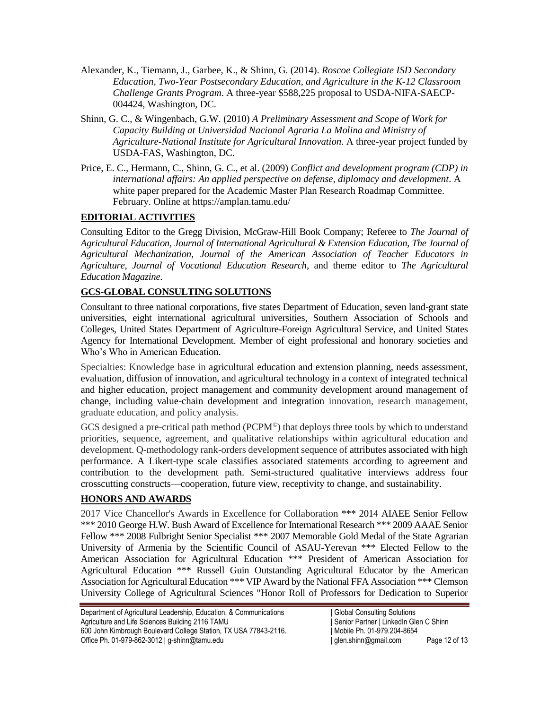- Alexander, K., Tiemann, J., Garbee, K., & Shinn, G. (2014). *Roscoe Collegiate ISD Secondary Education, Two-Year Postsecondary Education, and Agriculture in the K-12 Classroom Challenge Grants Program*. A three-year \$588,225 proposal to USDA-NIFA-SAECP-004424, Washington, DC.
- Shinn, G. C., & Wingenbach, G.W. (2010) *A Preliminary Assessment and Scope of Work for Capacity Building at Universidad Nacional Agraria La Molina and Ministry of Agriculture-National Institute for Agricultural Innovation*. A three-year project funded by USDA-FAS, Washington, DC.
- Price, E. C., Hermann, C., Shinn, G. C., et al. (2009) *Conflict and development program (CDP) in international affairs: An applied perspective on defense, diplomacy and development*. A white paper prepared for the Academic Master Plan Research Roadmap Committee. February. Online at https://amplan.tamu.edu/

# **EDITORIAL ACTIVITIES**

Consulting Editor to the Gregg Division, McGraw-Hill Book Company; Referee to *The Journal of Agricultural Education, Journal of International Agricultural & Extension Education, The Journal of Agricultural Mechanization*, *Journal of the American Association of Teacher Educators in Agriculture*, *Journal of Vocational Education Research*, and theme editor to *The Agricultural Education Magazine*.

## **GCS-GLOBAL CONSULTING SOLUTIONS**

Consultant to three national corporations, five states Department of Education, seven land-grant state universities, eight international agricultural universities, Southern Association of Schools and Colleges, United States Department of Agriculture-Foreign Agricultural Service, and United States Agency for International Development. Member of eight professional and honorary societies and Who's Who in American Education.

Specialties: Knowledge base in agricultural education and extension planning, needs assessment, evaluation, diffusion of innovation, and agricultural technology in a context of integrated technical and higher education, project management and community development around management of change, including value-chain development and integration innovation, research management, graduate education, and policy analysis.

GCS designed a pre-critical path method ( $PCPM^{\circ}$ ) that deploys three tools by which to understand priorities, sequence, agreement, and qualitative relationships within agricultural education and development. Q-methodology rank-orders development sequence of attributes associated with high performance. A Likert-type scale classifies associated statements according to agreement and contribution to the development path. Semi-structured qualitative interviews address four crosscutting constructs—cooperation, future view, receptivity to change, and sustainability.

#### **HONORS AND AWARDS**

2017 Vice Chancellor's Awards in Excellence for Collaboration \*\*\* 2014 AIAEE Senior Fellow \*\*\* 2010 George H.W. Bush Award of Excellence for International Research \*\*\* 2009 AAAE Senior Fellow \*\*\* 2008 Fulbright Senior Specialist \*\*\* 2007 Memorable Gold Medal of the State Agrarian University of Armenia by the Scientific Council of ASAU-Yerevan \*\*\* Elected Fellow to the American Association for Agricultural Education \*\*\* President of American Association for Agricultural Education \*\*\* Russell Guin Outstanding Agricultural Educator by the American Association for Agricultural Education \*\*\* VIP Award by the National FFA Association \*\*\* Clemson University College of Agricultural Sciences "Honor Roll of Professors for Dedication to Superior